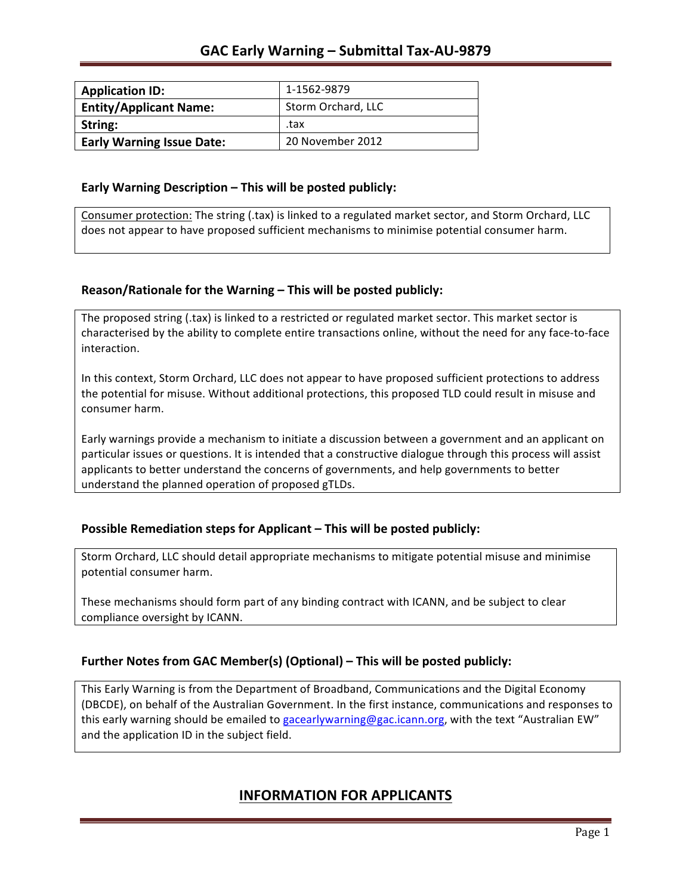| <b>Application ID:</b>           | 1-1562-9879        |
|----------------------------------|--------------------|
| <b>Entity/Applicant Name:</b>    | Storm Orchard, LLC |
| String:                          | .tax               |
| <b>Early Warning Issue Date:</b> | 20 November 2012   |

### **Early Warning Description – This will be posted publicly:**

Consumer protection: The string (.tax) is linked to a regulated market sector, and Storm Orchard, LLC does not appear to have proposed sufficient mechanisms to minimise potential consumer harm.

### **Reason/Rationale for the Warning – This will be posted publicly:**

The proposed string (.tax) is linked to a restricted or regulated market sector. This market sector is characterised by the ability to complete entire transactions online, without the need for any face-to-face interaction.

In this context, Storm Orchard, LLC does not appear to have proposed sufficient protections to address the potential for misuse. Without additional protections, this proposed TLD could result in misuse and consumer harm.

Early warnings provide a mechanism to initiate a discussion between a government and an applicant on particular issues or questions. It is intended that a constructive dialogue through this process will assist applicants to better understand the concerns of governments, and help governments to better understand the planned operation of proposed gTLDs.

### **Possible Remediation steps for Applicant – This will be posted publicly:**

Storm Orchard, LLC should detail appropriate mechanisms to mitigate potential misuse and minimise potential consumer harm.

These mechanisms should form part of any binding contract with ICANN, and be subject to clear compliance oversight by ICANN.

## **Further Notes from GAC Member(s) (Optional)** – This will be posted publicly:

This Early Warning is from the Department of Broadband, Communications and the Digital Economy (DBCDE), on behalf of the Australian Government. In the first instance, communications and responses to this early warning should be emailed to gacearlywarning@gac.icann.org, with the text "Australian EW" and the application ID in the subject field.

# **INFORMATION FOR APPLICANTS**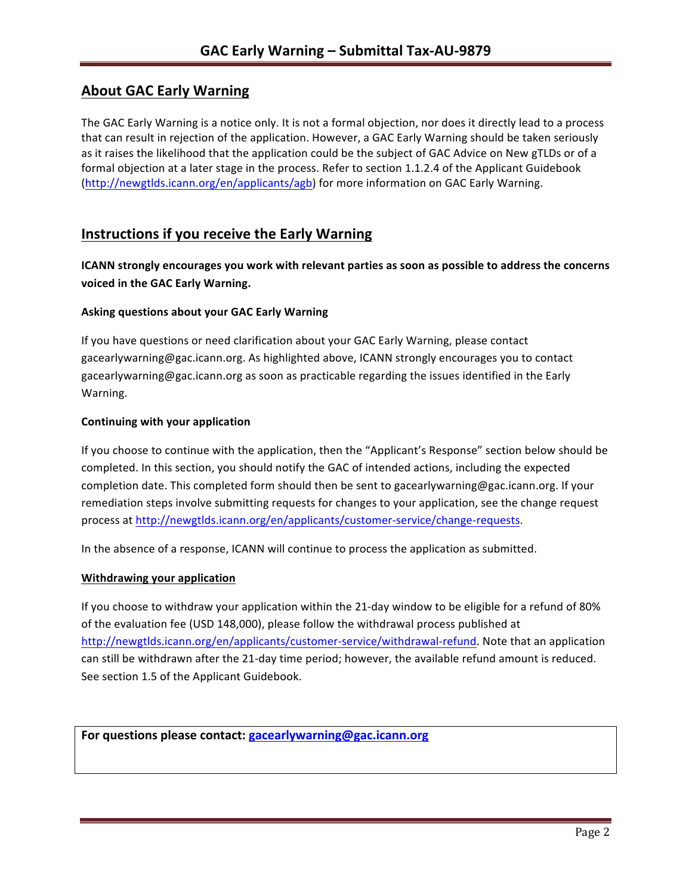# **About GAC Early Warning**

The GAC Early Warning is a notice only. It is not a formal objection, nor does it directly lead to a process that can result in rejection of the application. However, a GAC Early Warning should be taken seriously as it raises the likelihood that the application could be the subject of GAC Advice on New gTLDs or of a formal objection at a later stage in the process. Refer to section 1.1.2.4 of the Applicant Guidebook (http://newgtlds.icann.org/en/applicants/agb) for more information on GAC Early Warning.

# **Instructions if you receive the Early Warning**

**ICANN** strongly encourages you work with relevant parties as soon as possible to address the concerns **voiced in the GAC Early Warning.** 

### **Asking questions about your GAC Early Warning**

If you have questions or need clarification about your GAC Early Warning, please contact gacearlywarning@gac.icann.org. As highlighted above, ICANN strongly encourages you to contact gacearlywarning@gac.icann.org as soon as practicable regarding the issues identified in the Early Warning. 

### **Continuing with your application**

If you choose to continue with the application, then the "Applicant's Response" section below should be completed. In this section, you should notify the GAC of intended actions, including the expected completion date. This completed form should then be sent to gacearlywarning@gac.icann.org. If your remediation steps involve submitting requests for changes to your application, see the change request process at http://newgtlds.icann.org/en/applicants/customer-service/change-requests.

In the absence of a response, ICANN will continue to process the application as submitted.

#### **Withdrawing your application**

If you choose to withdraw your application within the 21-day window to be eligible for a refund of 80% of the evaluation fee (USD 148,000), please follow the withdrawal process published at http://newgtlds.icann.org/en/applicants/customer-service/withdrawal-refund. Note that an application can still be withdrawn after the 21-day time period; however, the available refund amount is reduced. See section 1.5 of the Applicant Guidebook.

```
For questions please contact: gacearlywarning@gac.icann.org
```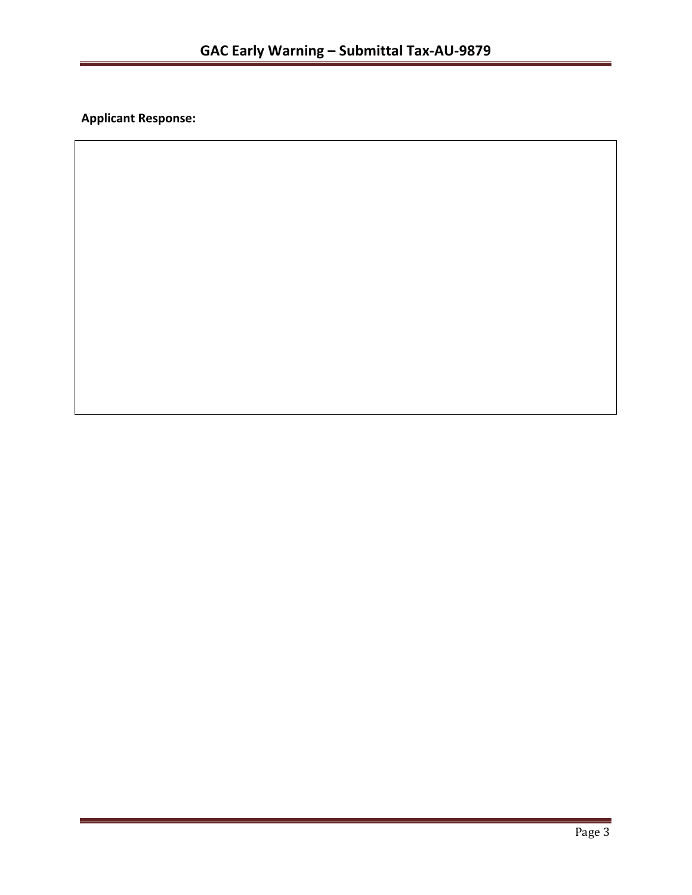**Applicant Response:**